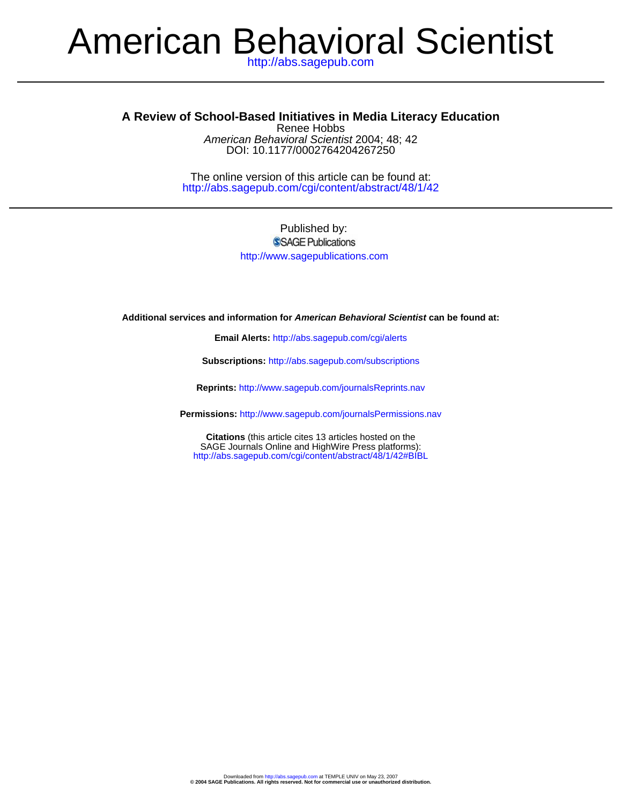# American Behavioral Scientist http://abs.sagepub.com

# **A Review of School-Based Initiatives in Media Literacy Education**

DOI: 10.1177/0002764204267250 American Behavioral Scientist 2004; 48; 42 Renee Hobbs

http://abs.sagepub.com/cgi/content/abstract/48/1/42 The online version of this article can be found at:

> Published by: SSAGE Publications

http://www.sagepublications.com

**Additional services and information for American Behavioral Scientist can be found at:**

**Email Alerts:** <http://abs.sagepub.com/cgi/alerts>

**Subscriptions:** <http://abs.sagepub.com/subscriptions>

**Reprints:** <http://www.sagepub.com/journalsReprints.nav>

**Permissions:** <http://www.sagepub.com/journalsPermissions.nav>

<http://abs.sagepub.com/cgi/content/abstract/48/1/42#BIBL> SAGE Journals Online and HighWire Press platforms): **Citations** (this article cites 13 articles hosted on the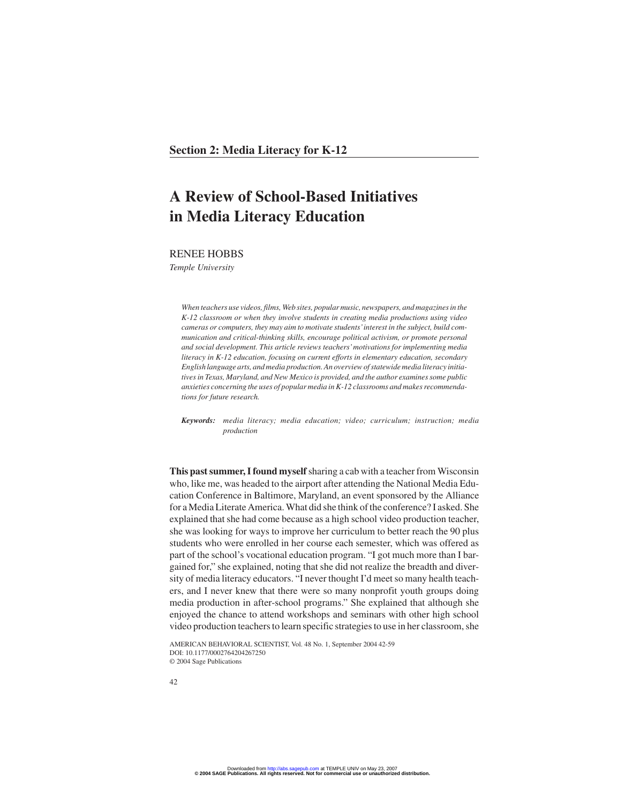# **A Review of School-Based Initiatives in Media Literacy Education**

#### RENEE HOBBS

*Temple University*

*When teachers use videos, films, Web sites, popular music, newspapers, and magazines in the K-12 classroom or when they involve students in creating media productions using video cameras or computers, they may aim to motivate students'interest in the subject, build communication and critical-thinking skills, encourage political activism, or promote personal and social development. This article reviews teachers'motivations for implementing media literacy in K-12 education, focusing on current efforts in elementary education, secondary English language arts, and media production. An overview of statewide media literacy initiatives in Texas, Maryland, and New Mexico is provided, and the author examines some public anxieties concerning the uses of popular media in K-12 classrooms and makes recommendations for future research.*

*Keywords: media literacy; media education; video; curriculum; instruction; media production*

**This past summer, I found myself**sharing a cab with a teacher from Wisconsin who, like me, was headed to the airport after attending the National Media Education Conference in Baltimore, Maryland, an event sponsored by the Alliance for a Media Literate America. What did she think of the conference? I asked. She explained that she had come because as a high school video production teacher, she was looking for ways to improve her curriculum to better reach the 90 plus students who were enrolled in her course each semester, which was offered as part of the school's vocational education program. "I got much more than I bargained for," she explained, noting that she did not realize the breadth and diversity of media literacy educators. "I never thought I'd meet so many health teachers, and I never knew that there were so many nonprofit youth groups doing media production in after-school programs." She explained that although she enjoyed the chance to attend workshops and seminars with other high school video production teachers to learn specific strategies to use in her classroom, she

AMERICAN BEHAVIORAL SCIENTIST, Vol. 48 No. 1, September 2004 42-59 DOI: 10.1177/0002764204267250 © 2004 Sage Publications

42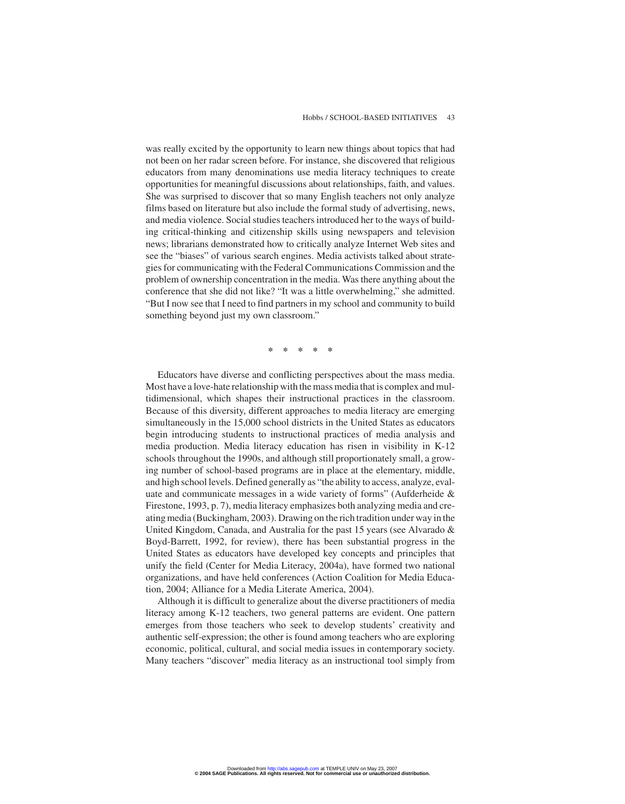was really excited by the opportunity to learn new things about topics that had not been on her radar screen before. For instance, she discovered that religious educators from many denominations use media literacy techniques to create opportunities for meaningful discussions about relationships, faith, and values. She was surprised to discover that so many English teachers not only analyze films based on literature but also include the formal study of advertising, news, and media violence. Social studies teachers introduced her to the ways of building critical-thinking and citizenship skills using newspapers and television news; librarians demonstrated how to critically analyze Internet Web sites and see the "biases" of various search engines. Media activists talked about strategies for communicating with the Federal Communications Commission and the problem of ownership concentration in the media. Was there anything about the conference that she did not like? "It was a little overwhelming," she admitted. "But I now see that I need to find partners in my school and community to build something beyond just my own classroom."

**\*\*\*\*\***

Educators have diverse and conflicting perspectives about the mass media. Most have a love-hate relationship with the mass media that is complex and multidimensional, which shapes their instructional practices in the classroom. Because of this diversity, different approaches to media literacy are emerging simultaneously in the 15,000 school districts in the United States as educators begin introducing students to instructional practices of media analysis and media production. Media literacy education has risen in visibility in K-12 schools throughout the 1990s, and although still proportionately small, a growing number of school-based programs are in place at the elementary, middle, and high school levels. Defined generally as "the ability to access, analyze, evaluate and communicate messages in a wide variety of forms" (Aufderheide & Firestone, 1993, p. 7), media literacy emphasizes both analyzing media and creating media (Buckingham, 2003). Drawing on the rich tradition under way in the United Kingdom, Canada, and Australia for the past 15 years (see Alvarado & Boyd-Barrett, 1992, for review), there has been substantial progress in the United States as educators have developed key concepts and principles that unify the field (Center for Media Literacy, 2004a), have formed two national organizations, and have held conferences (Action Coalition for Media Education, 2004; Alliance for a Media Literate America, 2004).

Although it is difficult to generalize about the diverse practitioners of media literacy among K-12 teachers, two general patterns are evident. One pattern emerges from those teachers who seek to develop students' creativity and authentic self-expression; the other is found among teachers who are exploring economic, political, cultural, and social media issues in contemporary society. Many teachers "discover" media literacy as an instructional tool simply from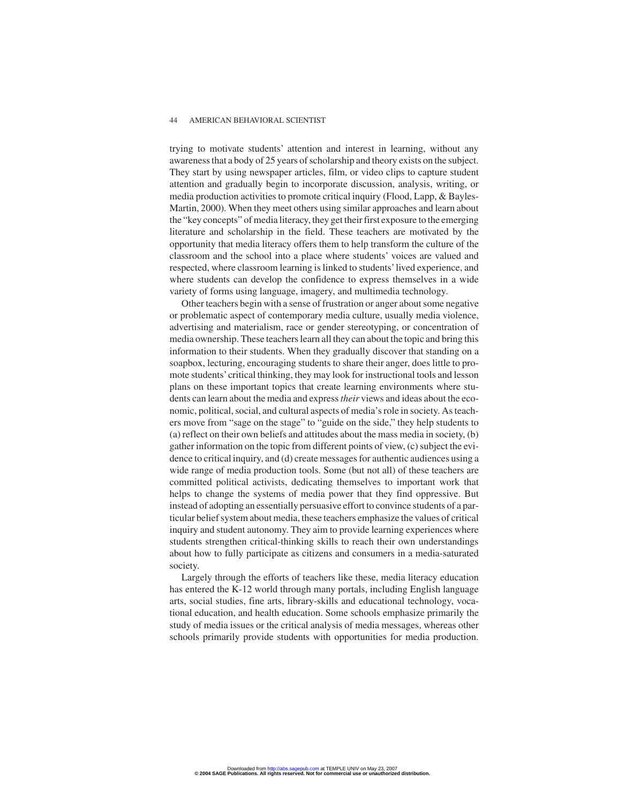trying to motivate students' attention and interest in learning, without any awareness that a body of 25 years of scholarship and theory exists on the subject. They start by using newspaper articles, film, or video clips to capture student attention and gradually begin to incorporate discussion, analysis, writing, or media production activities to promote critical inquiry (Flood, Lapp, & Bayles-Martin, 2000). When they meet others using similar approaches and learn about the "key concepts" of media literacy, they get their first exposure to the emerging literature and scholarship in the field. These teachers are motivated by the opportunity that media literacy offers them to help transform the culture of the classroom and the school into a place where students' voices are valued and respected, where classroom learning is linked to students'lived experience, and where students can develop the confidence to express themselves in a wide variety of forms using language, imagery, and multimedia technology.

Other teachers begin with a sense of frustration or anger about some negative or problematic aspect of contemporary media culture, usually media violence, advertising and materialism, race or gender stereotyping, or concentration of media ownership. These teachers learn all they can about the topic and bring this information to their students. When they gradually discover that standing on a soapbox, lecturing, encouraging students to share their anger, does little to promote students'critical thinking, they may look for instructional tools and lesson plans on these important topics that create learning environments where students can learn about the media and express*their* views and ideas about the economic, political, social, and cultural aspects of media's role in society. As teachers move from "sage on the stage" to "guide on the side," they help students to (a) reflect on their own beliefs and attitudes about the mass media in society, (b) gather information on the topic from different points of view, (c) subject the evidence to critical inquiry, and (d) create messages for authentic audiences using a wide range of media production tools. Some (but not all) of these teachers are committed political activists, dedicating themselves to important work that helps to change the systems of media power that they find oppressive. But instead of adopting an essentially persuasive effort to convince students of a particular belief system about media, these teachers emphasize the values of critical inquiry and student autonomy. They aim to provide learning experiences where students strengthen critical-thinking skills to reach their own understandings about how to fully participate as citizens and consumers in a media-saturated society.

Largely through the efforts of teachers like these, media literacy education has entered the K-12 world through many portals, including English language arts, social studies, fine arts, library-skills and educational technology, vocational education, and health education. Some schools emphasize primarily the study of media issues or the critical analysis of media messages, whereas other schools primarily provide students with opportunities for media production.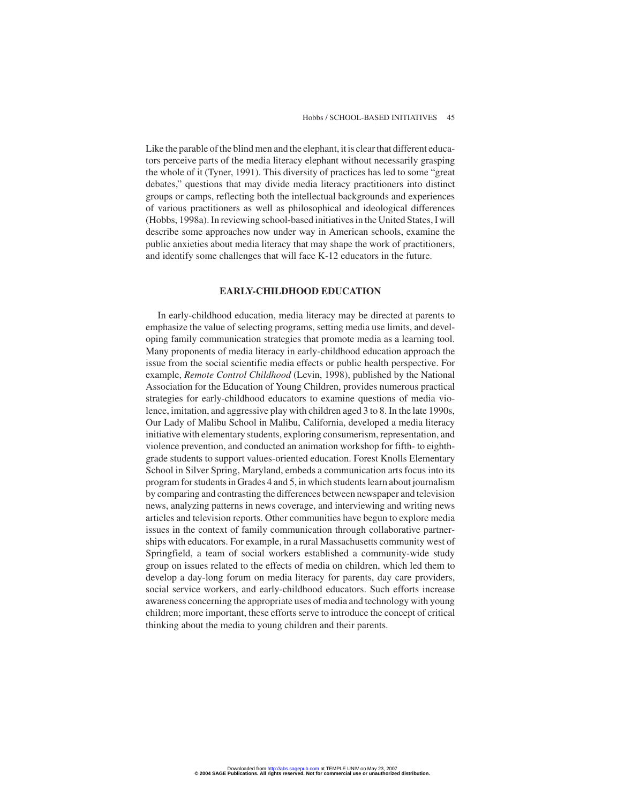Like the parable of the blind men and the elephant, it is clear that different educators perceive parts of the media literacy elephant without necessarily grasping the whole of it (Tyner, 1991). This diversity of practices has led to some "great debates," questions that may divide media literacy practitioners into distinct groups or camps, reflecting both the intellectual backgrounds and experiences of various practitioners as well as philosophical and ideological differences (Hobbs, 1998a). In reviewing school-based initiatives in the United States, I will describe some approaches now under way in American schools, examine the public anxieties about media literacy that may shape the work of practitioners, and identify some challenges that will face K-12 educators in the future.

#### **EARLY-CHILDHOOD EDUCATION**

In early-childhood education, media literacy may be directed at parents to emphasize the value of selecting programs, setting media use limits, and developing family communication strategies that promote media as a learning tool. Many proponents of media literacy in early-childhood education approach the issue from the social scientific media effects or public health perspective. For example, *Remote Control Childhood* (Levin, 1998), published by the National Association for the Education of Young Children, provides numerous practical strategies for early-childhood educators to examine questions of media violence, imitation, and aggressive play with children aged 3 to 8. In the late 1990s, Our Lady of Malibu School in Malibu, California, developed a media literacy initiative with elementary students, exploring consumerism, representation, and violence prevention, and conducted an animation workshop for fifth- to eighthgrade students to support values-oriented education. Forest Knolls Elementary School in Silver Spring, Maryland, embeds a communication arts focus into its program for students in Grades 4 and 5, in which students learn about journalism by comparing and contrasting the differences between newspaper and television news, analyzing patterns in news coverage, and interviewing and writing news articles and television reports. Other communities have begun to explore media issues in the context of family communication through collaborative partnerships with educators. For example, in a rural Massachusetts community west of Springfield, a team of social workers established a community-wide study group on issues related to the effects of media on children, which led them to develop a day-long forum on media literacy for parents, day care providers, social service workers, and early-childhood educators. Such efforts increase awareness concerning the appropriate uses of media and technology with young children; more important, these efforts serve to introduce the concept of critical thinking about the media to young children and their parents.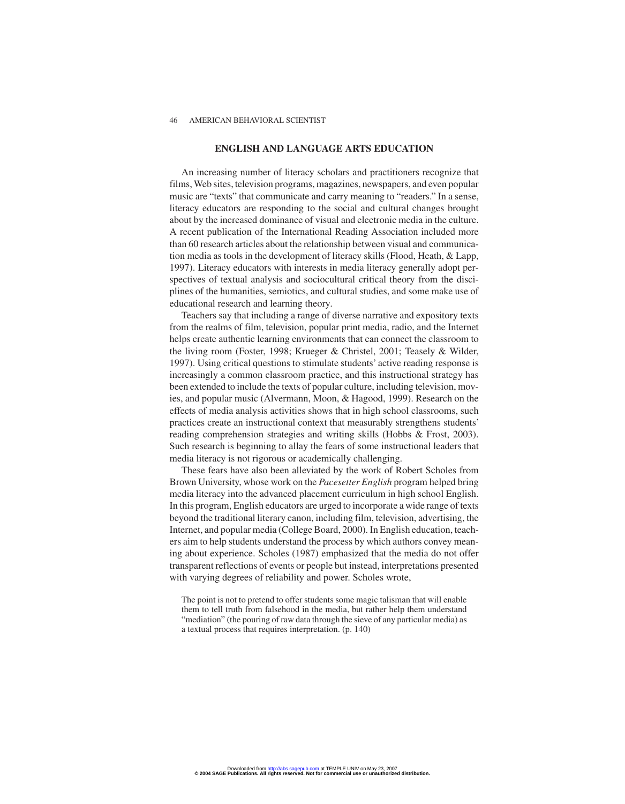#### **ENGLISH AND LANGUAGE ARTS EDUCATION**

An increasing number of literacy scholars and practitioners recognize that films, Web sites, television programs, magazines, newspapers, and even popular music are "texts" that communicate and carry meaning to "readers." In a sense, literacy educators are responding to the social and cultural changes brought about by the increased dominance of visual and electronic media in the culture. A recent publication of the International Reading Association included more than 60 research articles about the relationship between visual and communication media as tools in the development of literacy skills (Flood, Heath, & Lapp, 1997). Literacy educators with interests in media literacy generally adopt perspectives of textual analysis and sociocultural critical theory from the disciplines of the humanities, semiotics, and cultural studies, and some make use of educational research and learning theory.

Teachers say that including a range of diverse narrative and expository texts from the realms of film, television, popular print media, radio, and the Internet helps create authentic learning environments that can connect the classroom to the living room (Foster, 1998; Krueger & Christel, 2001; Teasely & Wilder, 1997). Using critical questions to stimulate students' active reading response is increasingly a common classroom practice, and this instructional strategy has been extended to include the texts of popular culture, including television, movies, and popular music (Alvermann, Moon, & Hagood, 1999). Research on the effects of media analysis activities shows that in high school classrooms, such practices create an instructional context that measurably strengthens students' reading comprehension strategies and writing skills (Hobbs & Frost, 2003). Such research is beginning to allay the fears of some instructional leaders that media literacy is not rigorous or academically challenging.

These fears have also been alleviated by the work of Robert Scholes from Brown University, whose work on the *Pacesetter English* program helped bring media literacy into the advanced placement curriculum in high school English. In this program, English educators are urged to incorporate a wide range of texts beyond the traditional literary canon, including film, television, advertising, the Internet, and popular media (College Board, 2000). In English education, teachers aim to help students understand the process by which authors convey meaning about experience. Scholes (1987) emphasized that the media do not offer transparent reflections of events or people but instead, interpretations presented with varying degrees of reliability and power. Scholes wrote,

The point is not to pretend to offer students some magic talisman that will enable them to tell truth from falsehood in the media, but rather help them understand "mediation" (the pouring of raw data through the sieve of any particular media) as a textual process that requires interpretation. (p. 140)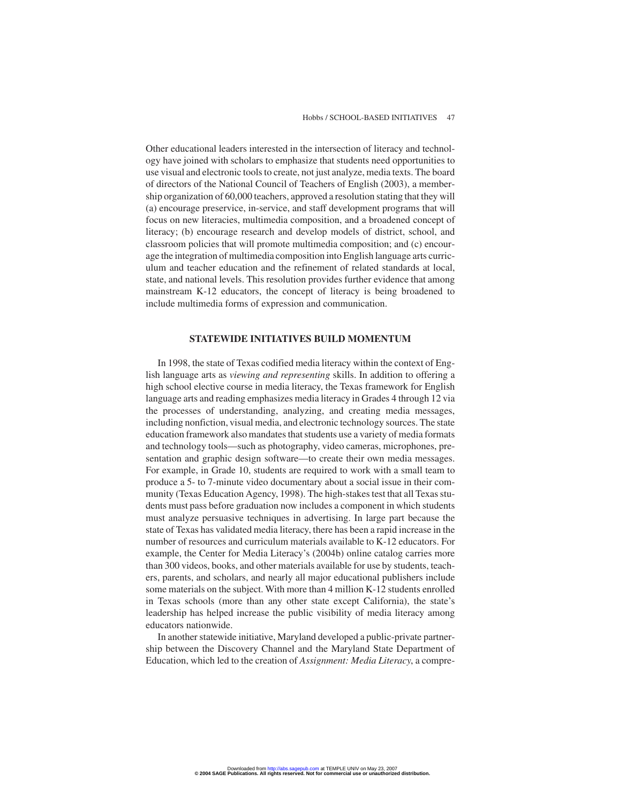Other educational leaders interested in the intersection of literacy and technology have joined with scholars to emphasize that students need opportunities to use visual and electronic tools to create, not just analyze, media texts. The board of directors of the National Council of Teachers of English (2003), a membership organization of 60,000 teachers, approved a resolution stating that they will (a) encourage preservice, in-service, and staff development programs that will focus on new literacies, multimedia composition, and a broadened concept of literacy; (b) encourage research and develop models of district, school, and classroom policies that will promote multimedia composition; and (c) encourage the integration of multimedia composition into English language arts curriculum and teacher education and the refinement of related standards at local, state, and national levels. This resolution provides further evidence that among mainstream K-12 educators, the concept of literacy is being broadened to include multimedia forms of expression and communication.

#### **STATEWIDE INITIATIVES BUILD MOMENTUM**

In 1998, the state of Texas codified media literacy within the context of English language arts as *viewing and representing* skills. In addition to offering a high school elective course in media literacy, the Texas framework for English language arts and reading emphasizes media literacy in Grades 4 through 12 via the processes of understanding, analyzing, and creating media messages, including nonfiction, visual media, and electronic technology sources. The state education framework also mandates that students use a variety of media formats and technology tools—such as photography, video cameras, microphones, presentation and graphic design software—to create their own media messages. For example, in Grade 10, students are required to work with a small team to produce a 5- to 7-minute video documentary about a social issue in their community (Texas Education Agency, 1998). The high-stakes test that all Texas students must pass before graduation now includes a component in which students must analyze persuasive techniques in advertising. In large part because the state of Texas has validated media literacy, there has been a rapid increase in the number of resources and curriculum materials available to K-12 educators. For example, the Center for Media Literacy's (2004b) online catalog carries more than 300 videos, books, and other materials available for use by students, teachers, parents, and scholars, and nearly all major educational publishers include some materials on the subject. With more than 4 million K-12 students enrolled in Texas schools (more than any other state except California), the state's leadership has helped increase the public visibility of media literacy among educators nationwide.

In another statewide initiative, Maryland developed a public-private partnership between the Discovery Channel and the Maryland State Department of Education, which led to the creation of *Assignment: Media Literacy*, a compre-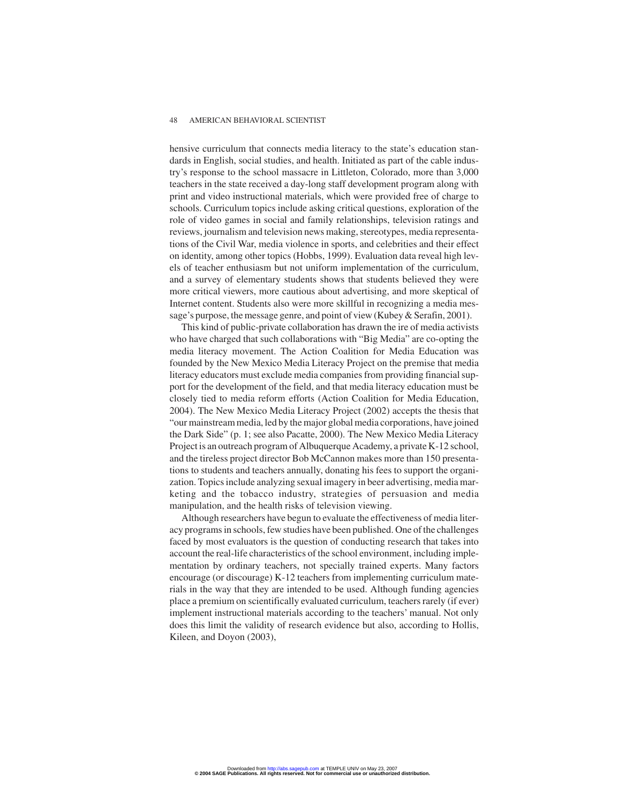hensive curriculum that connects media literacy to the state's education standards in English, social studies, and health. Initiated as part of the cable industry's response to the school massacre in Littleton, Colorado, more than 3,000 teachers in the state received a day-long staff development program along with print and video instructional materials, which were provided free of charge to schools. Curriculum topics include asking critical questions, exploration of the role of video games in social and family relationships, television ratings and reviews, journalism and television news making, stereotypes, media representations of the Civil War, media violence in sports, and celebrities and their effect on identity, among other topics (Hobbs, 1999). Evaluation data reveal high levels of teacher enthusiasm but not uniform implementation of the curriculum, and a survey of elementary students shows that students believed they were more critical viewers, more cautious about advertising, and more skeptical of Internet content. Students also were more skillful in recognizing a media message's purpose, the message genre, and point of view (Kubey & Serafin, 2001).

This kind of public-private collaboration has drawn the ire of media activists who have charged that such collaborations with "Big Media" are co-opting the media literacy movement. The Action Coalition for Media Education was founded by the New Mexico Media Literacy Project on the premise that media literacy educators must exclude media companies from providing financial support for the development of the field, and that media literacy education must be closely tied to media reform efforts (Action Coalition for Media Education, 2004). The New Mexico Media Literacy Project (2002) accepts the thesis that "our mainstream media, led by the major global media corporations, have joined the Dark Side" (p. 1; see also Pacatte, 2000). The New Mexico Media Literacy Project is an outreach program of Albuquerque Academy, a private K-12 school, and the tireless project director Bob McCannon makes more than 150 presentations to students and teachers annually, donating his fees to support the organization. Topics include analyzing sexual imagery in beer advertising, media marketing and the tobacco industry, strategies of persuasion and media manipulation, and the health risks of television viewing.

Although researchers have begun to evaluate the effectiveness of media literacy programs in schools, few studies have been published. One of the challenges faced by most evaluators is the question of conducting research that takes into account the real-life characteristics of the school environment, including implementation by ordinary teachers, not specially trained experts. Many factors encourage (or discourage) K-12 teachers from implementing curriculum materials in the way that they are intended to be used. Although funding agencies place a premium on scientifically evaluated curriculum, teachers rarely (if ever) implement instructional materials according to the teachers' manual. Not only does this limit the validity of research evidence but also, according to Hollis, Kileen, and Doyon (2003),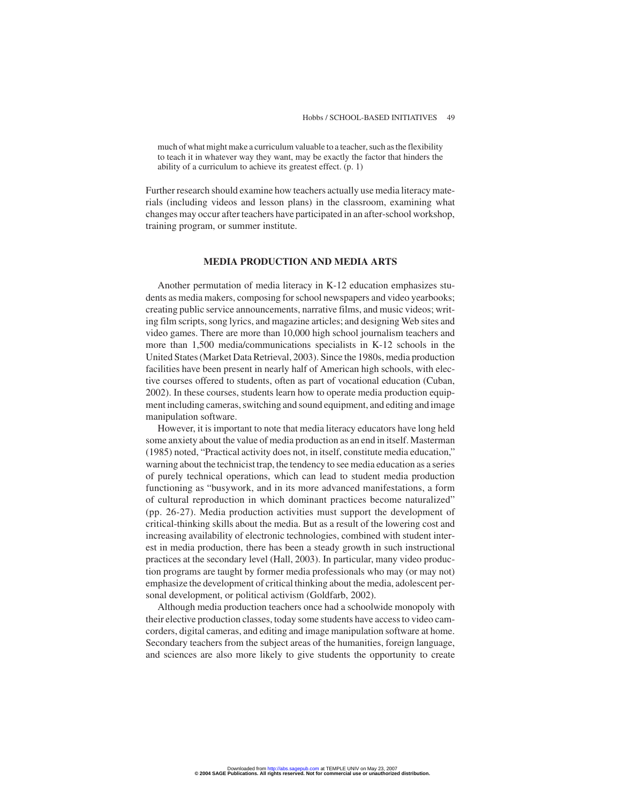much of what might make a curriculum valuable to a teacher, such as the flexibility to teach it in whatever way they want, may be exactly the factor that hinders the ability of a curriculum to achieve its greatest effect. (p. 1)

Further research should examine how teachers actually use media literacy materials (including videos and lesson plans) in the classroom, examining what changes may occur after teachers have participated in an after-school workshop, training program, or summer institute.

# **MEDIA PRODUCTION AND MEDIA ARTS**

Another permutation of media literacy in K-12 education emphasizes students as media makers, composing for school newspapers and video yearbooks; creating public service announcements, narrative films, and music videos; writing film scripts, song lyrics, and magazine articles; and designing Web sites and video games. There are more than 10,000 high school journalism teachers and more than 1,500 media/communications specialists in K-12 schools in the United States (Market Data Retrieval, 2003). Since the 1980s, media production facilities have been present in nearly half of American high schools, with elective courses offered to students, often as part of vocational education (Cuban, 2002). In these courses, students learn how to operate media production equipment including cameras, switching and sound equipment, and editing and image manipulation software.

However, it is important to note that media literacy educators have long held some anxiety about the value of media production as an end in itself. Masterman (1985) noted, "Practical activity does not, in itself, constitute media education," warning about the technicist trap, the tendency to see media education as a series of purely technical operations, which can lead to student media production functioning as "busywork, and in its more advanced manifestations, a form of cultural reproduction in which dominant practices become naturalized" (pp. 26-27). Media production activities must support the development of critical-thinking skills about the media. But as a result of the lowering cost and increasing availability of electronic technologies, combined with student interest in media production, there has been a steady growth in such instructional practices at the secondary level (Hall, 2003). In particular, many video production programs are taught by former media professionals who may (or may not) emphasize the development of critical thinking about the media, adolescent personal development, or political activism (Goldfarb, 2002).

Although media production teachers once had a schoolwide monopoly with their elective production classes, today some students have access to video camcorders, digital cameras, and editing and image manipulation software at home. Secondary teachers from the subject areas of the humanities, foreign language, and sciences are also more likely to give students the opportunity to create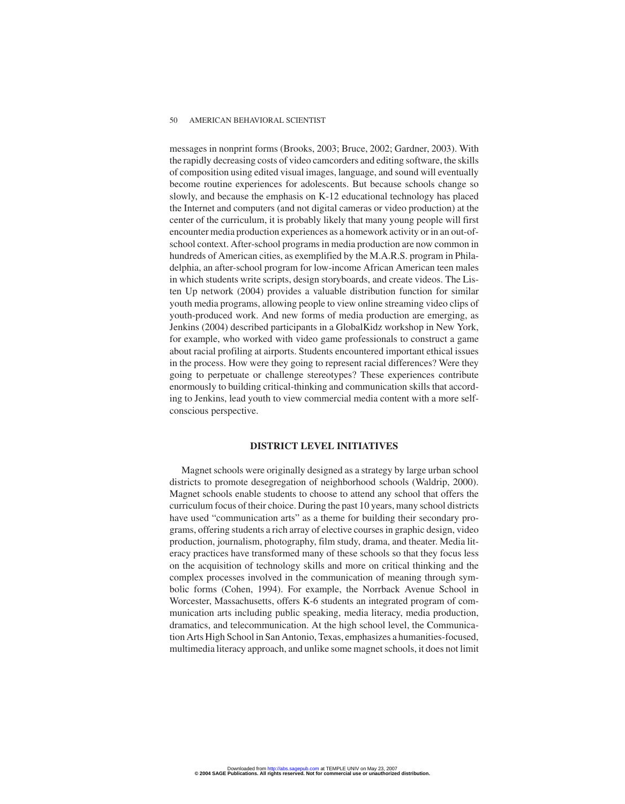messages in nonprint forms (Brooks, 2003; Bruce, 2002; Gardner, 2003). With the rapidly decreasing costs of video camcorders and editing software, the skills of composition using edited visual images, language, and sound will eventually become routine experiences for adolescents. But because schools change so slowly, and because the emphasis on K-12 educational technology has placed the Internet and computers (and not digital cameras or video production) at the center of the curriculum, it is probably likely that many young people will first encounter media production experiences as a homework activity or in an out-ofschool context. After-school programs in media production are now common in hundreds of American cities, as exemplified by the M.A.R.S. program in Philadelphia, an after-school program for low-income African American teen males in which students write scripts, design storyboards, and create videos. The Listen Up network (2004) provides a valuable distribution function for similar youth media programs, allowing people to view online streaming video clips of youth-produced work. And new forms of media production are emerging, as Jenkins (2004) described participants in a GlobalKidz workshop in New York, for example, who worked with video game professionals to construct a game about racial profiling at airports. Students encountered important ethical issues in the process. How were they going to represent racial differences? Were they going to perpetuate or challenge stereotypes? These experiences contribute enormously to building critical-thinking and communication skills that according to Jenkins, lead youth to view commercial media content with a more selfconscious perspective.

## **DISTRICT LEVEL INITIATIVES**

Magnet schools were originally designed as a strategy by large urban school districts to promote desegregation of neighborhood schools (Waldrip, 2000). Magnet schools enable students to choose to attend any school that offers the curriculum focus of their choice. During the past 10 years, many school districts have used "communication arts" as a theme for building their secondary programs, offering students a rich array of elective courses in graphic design, video production, journalism, photography, film study, drama, and theater. Media literacy practices have transformed many of these schools so that they focus less on the acquisition of technology skills and more on critical thinking and the complex processes involved in the communication of meaning through symbolic forms (Cohen, 1994). For example, the Norrback Avenue School in Worcester, Massachusetts, offers K-6 students an integrated program of communication arts including public speaking, media literacy, media production, dramatics, and telecommunication. At the high school level, the Communication Arts High School in San Antonio, Texas, emphasizes a humanities-focused, multimedia literacy approach, and unlike some magnet schools, it does not limit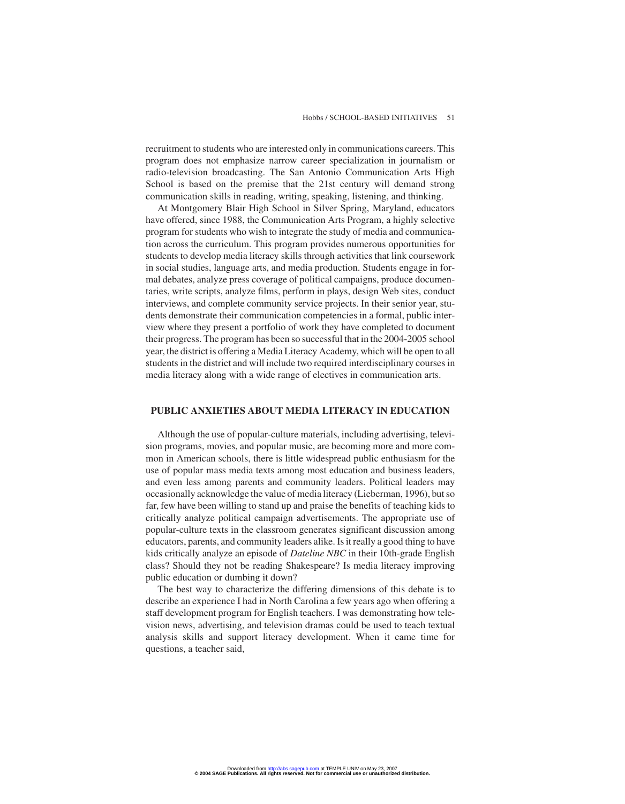recruitment to students who are interested only in communications careers. This program does not emphasize narrow career specialization in journalism or radio-television broadcasting. The San Antonio Communication Arts High School is based on the premise that the 21st century will demand strong communication skills in reading, writing, speaking, listening, and thinking.

At Montgomery Blair High School in Silver Spring, Maryland, educators have offered, since 1988, the Communication Arts Program, a highly selective program for students who wish to integrate the study of media and communication across the curriculum. This program provides numerous opportunities for students to develop media literacy skills through activities that link coursework in social studies, language arts, and media production. Students engage in formal debates, analyze press coverage of political campaigns, produce documentaries, write scripts, analyze films, perform in plays, design Web sites, conduct interviews, and complete community service projects. In their senior year, students demonstrate their communication competencies in a formal, public interview where they present a portfolio of work they have completed to document their progress. The program has been so successful that in the 2004-2005 school year, the district is offering a Media Literacy Academy, which will be open to all students in the district and will include two required interdisciplinary courses in media literacy along with a wide range of electives in communication arts.

## **PUBLIC ANXIETIES ABOUT MEDIA LITERACY IN EDUCATION**

Although the use of popular-culture materials, including advertising, television programs, movies, and popular music, are becoming more and more common in American schools, there is little widespread public enthusiasm for the use of popular mass media texts among most education and business leaders, and even less among parents and community leaders. Political leaders may occasionally acknowledge the value of media literacy (Lieberman, 1996), but so far, few have been willing to stand up and praise the benefits of teaching kids to critically analyze political campaign advertisements. The appropriate use of popular-culture texts in the classroom generates significant discussion among educators, parents, and community leaders alike. Is it really a good thing to have kids critically analyze an episode of *Dateline NBC* in their 10th-grade English class? Should they not be reading Shakespeare? Is media literacy improving public education or dumbing it down?

The best way to characterize the differing dimensions of this debate is to describe an experience I had in North Carolina a few years ago when offering a staff development program for English teachers. I was demonstrating how television news, advertising, and television dramas could be used to teach textual analysis skills and support literacy development. When it came time for questions, a teacher said,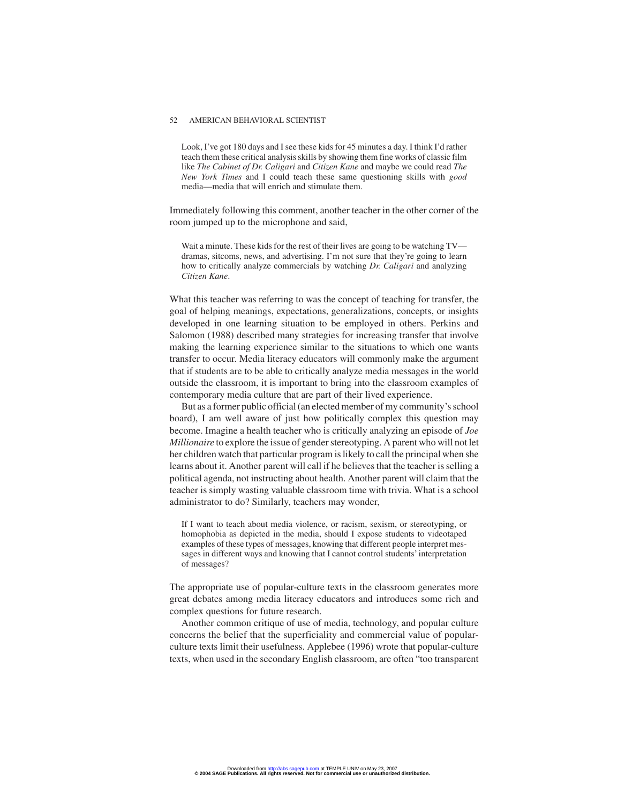Look, I've got 180 days and I see these kids for 45 minutes a day. I think I'd rather teach them these critical analysis skills by showing them fine works of classic film like *The Cabinet of Dr. Caligari* and *Citizen Kane* and maybe we could read *The New York Times* and I could teach these same questioning skills with *good* media—media that will enrich and stimulate them.

Immediately following this comment, another teacher in the other corner of the room jumped up to the microphone and said,

Wait a minute. These kids for the rest of their lives are going to be watching  $TV$  dramas, sitcoms, news, and advertising. I'm not sure that they're going to learn how to critically analyze commercials by watching *Dr. Caligari* and analyzing *Citizen Kane*.

What this teacher was referring to was the concept of teaching for transfer, the goal of helping meanings, expectations, generalizations, concepts, or insights developed in one learning situation to be employed in others. Perkins and Salomon (1988) described many strategies for increasing transfer that involve making the learning experience similar to the situations to which one wants transfer to occur. Media literacy educators will commonly make the argument that if students are to be able to critically analyze media messages in the world outside the classroom, it is important to bring into the classroom examples of contemporary media culture that are part of their lived experience.

But as a former public official (an elected member of my community's school board), I am well aware of just how politically complex this question may become. Imagine a health teacher who is critically analyzing an episode of *Joe Millionaire* to explore the issue of gender stereotyping. A parent who will not let her children watch that particular program is likely to call the principal when she learns about it. Another parent will call if he believes that the teacher is selling a political agenda, not instructing about health. Another parent will claim that the teacher is simply wasting valuable classroom time with trivia. What is a school administrator to do? Similarly, teachers may wonder,

If I want to teach about media violence, or racism, sexism, or stereotyping, or homophobia as depicted in the media, should I expose students to videotaped examples of these types of messages, knowing that different people interpret messages in different ways and knowing that I cannot control students' interpretation of messages?

The appropriate use of popular-culture texts in the classroom generates more great debates among media literacy educators and introduces some rich and complex questions for future research.

Another common critique of use of media, technology, and popular culture concerns the belief that the superficiality and commercial value of popularculture texts limit their usefulness. Applebee (1996) wrote that popular-culture texts, when used in the secondary English classroom, are often "too transparent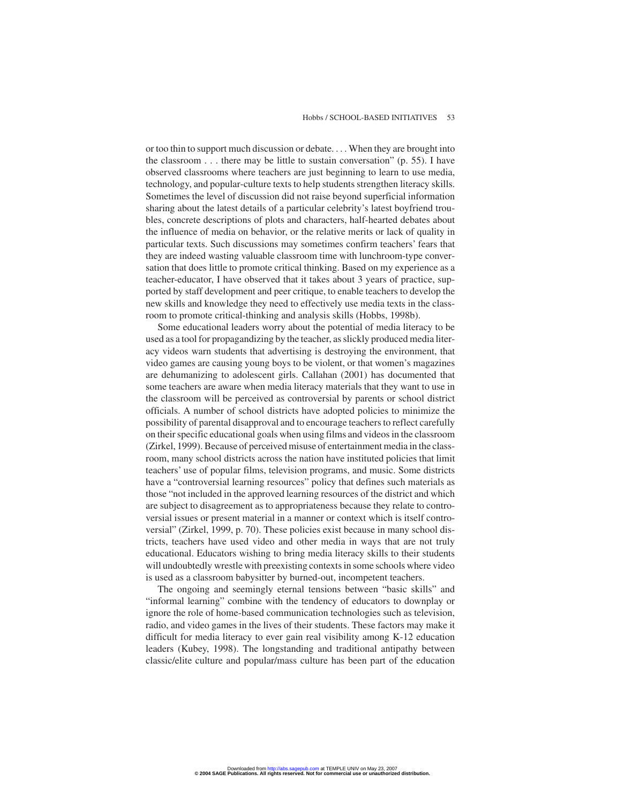or too thin to support much discussion or debate. . . . When they are brought into the classroom  $\dots$  there may be little to sustain conversation" (p. 55). I have observed classrooms where teachers are just beginning to learn to use media, technology, and popular-culture texts to help students strengthen literacy skills. Sometimes the level of discussion did not raise beyond superficial information sharing about the latest details of a particular celebrity's latest boyfriend troubles, concrete descriptions of plots and characters, half-hearted debates about the influence of media on behavior, or the relative merits or lack of quality in particular texts. Such discussions may sometimes confirm teachers' fears that they are indeed wasting valuable classroom time with lunchroom-type conversation that does little to promote critical thinking. Based on my experience as a teacher-educator, I have observed that it takes about 3 years of practice, supported by staff development and peer critique, to enable teachers to develop the new skills and knowledge they need to effectively use media texts in the classroom to promote critical-thinking and analysis skills (Hobbs, 1998b).

Some educational leaders worry about the potential of media literacy to be used as a tool for propagandizing by the teacher, as slickly produced media literacy videos warn students that advertising is destroying the environment, that video games are causing young boys to be violent, or that women's magazines are dehumanizing to adolescent girls. Callahan (2001) has documented that some teachers are aware when media literacy materials that they want to use in the classroom will be perceived as controversial by parents or school district officials. A number of school districts have adopted policies to minimize the possibility of parental disapproval and to encourage teachers to reflect carefully on their specific educational goals when using films and videos in the classroom (Zirkel, 1999). Because of perceived misuse of entertainment media in the classroom, many school districts across the nation have instituted policies that limit teachers' use of popular films, television programs, and music. Some districts have a "controversial learning resources" policy that defines such materials as those "not included in the approved learning resources of the district and which are subject to disagreement as to appropriateness because they relate to controversial issues or present material in a manner or context which is itself controversial" (Zirkel, 1999, p. 70). These policies exist because in many school districts, teachers have used video and other media in ways that are not truly educational. Educators wishing to bring media literacy skills to their students will undoubtedly wrestle with preexisting contexts in some schools where video is used as a classroom babysitter by burned-out, incompetent teachers.

The ongoing and seemingly eternal tensions between "basic skills" and "informal learning" combine with the tendency of educators to downplay or ignore the role of home-based communication technologies such as television, radio, and video games in the lives of their students. These factors may make it difficult for media literacy to ever gain real visibility among K-12 education leaders (Kubey, 1998). The longstanding and traditional antipathy between classic/elite culture and popular/mass culture has been part of the education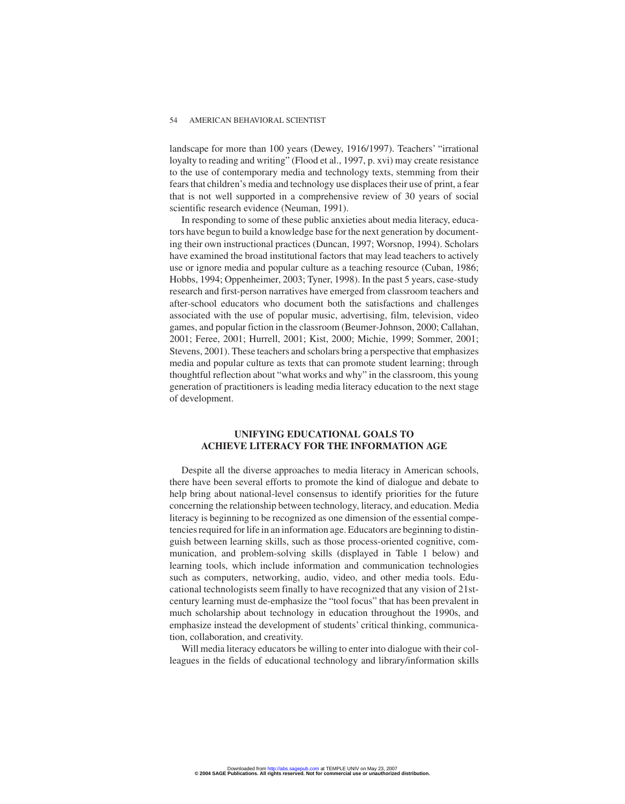landscape for more than 100 years (Dewey, 1916/1997). Teachers' "irrational loyalty to reading and writing" (Flood et al., 1997, p. xvi) may create resistance to the use of contemporary media and technology texts, stemming from their fears that children's media and technology use displaces their use of print, a fear that is not well supported in a comprehensive review of 30 years of social scientific research evidence (Neuman, 1991).

In responding to some of these public anxieties about media literacy, educators have begun to build a knowledge base for the next generation by documenting their own instructional practices (Duncan, 1997; Worsnop, 1994). Scholars have examined the broad institutional factors that may lead teachers to actively use or ignore media and popular culture as a teaching resource (Cuban, 1986; Hobbs, 1994; Oppenheimer, 2003; Tyner, 1998). In the past 5 years, case-study research and first-person narratives have emerged from classroom teachers and after-school educators who document both the satisfactions and challenges associated with the use of popular music, advertising, film, television, video games, and popular fiction in the classroom (Beumer-Johnson, 2000; Callahan, 2001; Feree, 2001; Hurrell, 2001; Kist, 2000; Michie, 1999; Sommer, 2001; Stevens, 2001). These teachers and scholars bring a perspective that emphasizes media and popular culture as texts that can promote student learning; through thoughtful reflection about "what works and why" in the classroom, this young generation of practitioners is leading media literacy education to the next stage of development.

# **UNIFYING EDUCATIONAL GOALS TO ACHIEVE LITERACY FOR THE INFORMATION AGE**

Despite all the diverse approaches to media literacy in American schools, there have been several efforts to promote the kind of dialogue and debate to help bring about national-level consensus to identify priorities for the future concerning the relationship between technology, literacy, and education. Media literacy is beginning to be recognized as one dimension of the essential competencies required for life in an information age. Educators are beginning to distinguish between learning skills, such as those process-oriented cognitive, communication, and problem-solving skills (displayed in Table 1 below) and learning tools, which include information and communication technologies such as computers, networking, audio, video, and other media tools. Educational technologists seem finally to have recognized that any vision of 21stcentury learning must de-emphasize the "tool focus" that has been prevalent in much scholarship about technology in education throughout the 1990s, and emphasize instead the development of students' critical thinking, communication, collaboration, and creativity.

Will media literacy educators be willing to enter into dialogue with their colleagues in the fields of educational technology and library/information skills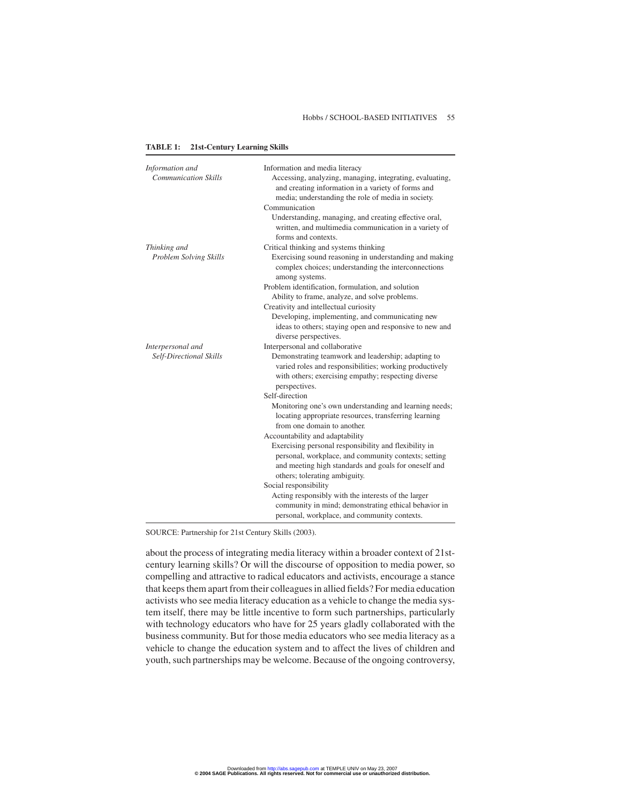| Information and             | Information and media literacy                                                                                 |
|-----------------------------|----------------------------------------------------------------------------------------------------------------|
| <b>Communication Skills</b> | Accessing, analyzing, managing, integrating, evaluating,<br>and creating information in a variety of forms and |
|                             | media; understanding the role of media in society.                                                             |
|                             | Communication                                                                                                  |
|                             | Understanding, managing, and creating effective oral,                                                          |
|                             | written, and multimedia communication in a variety of                                                          |
|                             | forms and contexts.                                                                                            |
| Thinking and                | Critical thinking and systems thinking                                                                         |
| Problem Solving Skills      | Exercising sound reasoning in understanding and making                                                         |
|                             | complex choices; understanding the interconnections<br>among systems.                                          |
|                             | Problem identification, formulation, and solution                                                              |
|                             | Ability to frame, analyze, and solve problems.                                                                 |
|                             | Creativity and intellectual curiosity                                                                          |
|                             | Developing, implementing, and communicating new                                                                |
|                             | ideas to others; staying open and responsive to new and<br>diverse perspectives.                               |
| Interpersonal and           | Interpersonal and collaborative                                                                                |
| Self-Directional Skills     | Demonstrating teamwork and leadership; adapting to                                                             |
|                             | varied roles and responsibilities; working productively                                                        |
|                             | with others; exercising empathy; respecting diverse                                                            |
|                             | perspectives.                                                                                                  |
|                             | Self-direction                                                                                                 |
|                             | Monitoring one's own understanding and learning needs;                                                         |
|                             | locating appropriate resources, transferring learning                                                          |
|                             | from one domain to another.                                                                                    |
|                             | Accountability and adaptability                                                                                |
|                             | Exercising personal responsibility and flexibility in                                                          |
|                             | personal, workplace, and community contexts; setting                                                           |
|                             | and meeting high standards and goals for oneself and                                                           |
|                             | others; tolerating ambiguity.<br>Social responsibility                                                         |
|                             | Acting responsibly with the interests of the larger                                                            |
|                             | community in mind; demonstrating ethical behavior in                                                           |
|                             | personal, workplace, and community contexts.                                                                   |
|                             |                                                                                                                |

#### **TABLE 1: 21st-Century Learning Skills**

SOURCE: Partnership for 21st Century Skills (2003).

about the process of integrating media literacy within a broader context of 21stcentury learning skills? Or will the discourse of opposition to media power, so compelling and attractive to radical educators and activists, encourage a stance that keeps them apart from their colleagues in allied fields? For media education activists who see media literacy education as a vehicle to change the media system itself, there may be little incentive to form such partnerships, particularly with technology educators who have for 25 years gladly collaborated with the business community. But for those media educators who see media literacy as a vehicle to change the education system and to affect the lives of children and youth, such partnerships may be welcome. Because of the ongoing controversy,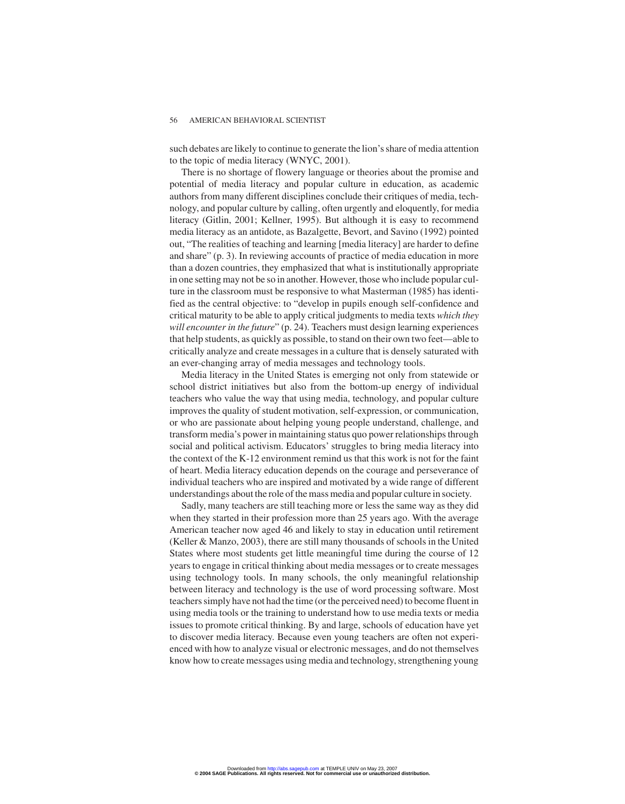such debates are likely to continue to generate the lion's share of media attention to the topic of media literacy (WNYC, 2001).

There is no shortage of flowery language or theories about the promise and potential of media literacy and popular culture in education, as academic authors from many different disciplines conclude their critiques of media, technology, and popular culture by calling, often urgently and eloquently, for media literacy (Gitlin, 2001; Kellner, 1995). But although it is easy to recommend media literacy as an antidote, as Bazalgette, Bevort, and Savino (1992) pointed out, "The realities of teaching and learning [media literacy] are harder to define and share" (p. 3). In reviewing accounts of practice of media education in more than a dozen countries, they emphasized that what is institutionally appropriate in one setting may not be so in another. However, those who include popular culture in the classroom must be responsive to what Masterman (1985) has identified as the central objective: to "develop in pupils enough self-confidence and critical maturity to be able to apply critical judgments to media texts *which they will encounter in the future*" (p. 24). Teachers must design learning experiences that help students, as quickly as possible, to stand on their own two feet—able to critically analyze and create messages in a culture that is densely saturated with an ever-changing array of media messages and technology tools.

Media literacy in the United States is emerging not only from statewide or school district initiatives but also from the bottom-up energy of individual teachers who value the way that using media, technology, and popular culture improves the quality of student motivation, self-expression, or communication, or who are passionate about helping young people understand, challenge, and transform media's power in maintaining status quo power relationships through social and political activism. Educators' struggles to bring media literacy into the context of the K-12 environment remind us that this work is not for the faint of heart. Media literacy education depends on the courage and perseverance of individual teachers who are inspired and motivated by a wide range of different understandings about the role of the mass media and popular culture in society.

Sadly, many teachers are still teaching more or less the same way as they did when they started in their profession more than 25 years ago. With the average American teacher now aged 46 and likely to stay in education until retirement (Keller & Manzo, 2003), there are still many thousands of schools in the United States where most students get little meaningful time during the course of 12 years to engage in critical thinking about media messages or to create messages using technology tools. In many schools, the only meaningful relationship between literacy and technology is the use of word processing software. Most teachers simply have not had the time (or the perceived need) to become fluent in using media tools or the training to understand how to use media texts or media issues to promote critical thinking. By and large, schools of education have yet to discover media literacy. Because even young teachers are often not experienced with how to analyze visual or electronic messages, and do not themselves know how to create messages using media and technology, strengthening young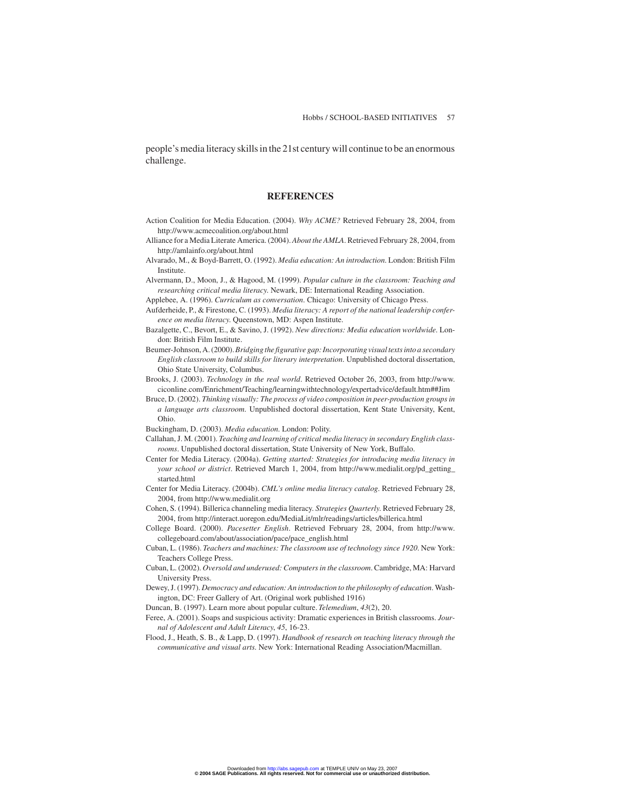people's media literacy skills in the 21st century will continue to be an enormous challenge.

#### **REFERENCES**

- Action Coalition for Media Education. (2004). *Why ACME?* Retrieved February 28, 2004, from http://www.acmecoalition.org/about.html
- Alliance for a Media Literate America. (2004). *About the AMLA*. Retrieved February 28, 2004, from http://amlainfo.org/about.html
- Alvarado, M., & Boyd-Barrett, O. (1992). *Media education: An introduction*. London: British Film Institute.
- Alvermann, D., Moon, J., & Hagood, M. (1999). *Popular culture in the classroom: Teaching and researching critical media literacy*. Newark, DE: International Reading Association.
- Applebee, A. (1996). *Curriculum as conversation*. Chicago: University of Chicago Press.
- Aufderheide, P., & Firestone, C. (1993). *Media literacy: A report of the national leadership conference on media literacy*. Queenstown, MD: Aspen Institute.
- Bazalgette, C., Bevort, E., & Savino, J. (1992). *New directions: Media education worldwide*. London: British Film Institute.
- Beumer-Johnson, A. (2000).*Bridging the figurative gap: Incorporating visual texts into a secondary English classroom to build skills for literary interpretation*. Unpublished doctoral dissertation, Ohio State University, Columbus.
- Brooks, J. (2003). *Technology in the real world*. Retrieved October 26, 2003, from http://www. ciconline.com/Enrichment/Teaching/learningwithtechnology/expertadvice/default.htm##Jim
- Bruce, D. (2002). *Thinking visually: The process of video composition in peer-production groups in a language arts classroom*. Unpublished doctoral dissertation, Kent State University, Kent, Ohio.
- Buckingham, D. (2003). *Media education*. London: Polity.
- Callahan, J. M. (2001). *Teaching and learning of critical media literacy in secondary English classrooms*. Unpublished doctoral dissertation, State University of New York, Buffalo.
- Center for Media Literacy. (2004a). *Getting started: Strategies for introducing media literacy in your school or district*. Retrieved March 1, 2004, from http://www.medialit.org/pd\_getting\_ started.html
- Center for Media Literacy. (2004b). *CML's online media literacy catalog*. Retrieved February 28, 2004, from http://www.medialit.org
- Cohen, S. (1994). Billerica channeling media literacy. *Strategies Quarterly*. Retrieved February 28, 2004, from http://interact.uoregon.edu/MediaLit/mlr/readings/articles/billerica.html
- College Board. (2000). *Pacesetter English*. Retrieved February 28, 2004, from http://www. collegeboard.com/about/association/pace/pace\_english.html
- Cuban, L. (1986). *Teachers and machines: The classroom use of technology since 1920*. New York: Teachers College Press.
- Cuban, L. (2002). *Oversold and underused: Computers in the classroom*. Cambridge, MA: Harvard University Press.
- Dewey, J. (1997). *Democracy and education: An introduction to the philosophy of education*. Washington, DC: Freer Gallery of Art. (Original work published 1916)
- Duncan, B. (1997). Learn more about popular culture. *Telemedium*, *43*(2), 20.
- Feree, A. (2001). Soaps and suspicious activity: Dramatic experiences in British classrooms. *Journal of Adolescent and Adult Literacy*, *45*, 16-23.

Flood, J., Heath, S. B., & Lapp, D. (1997). *Handbook of research on teaching literacy through the communicative and visual arts*. New York: International Reading Association/Macmillan.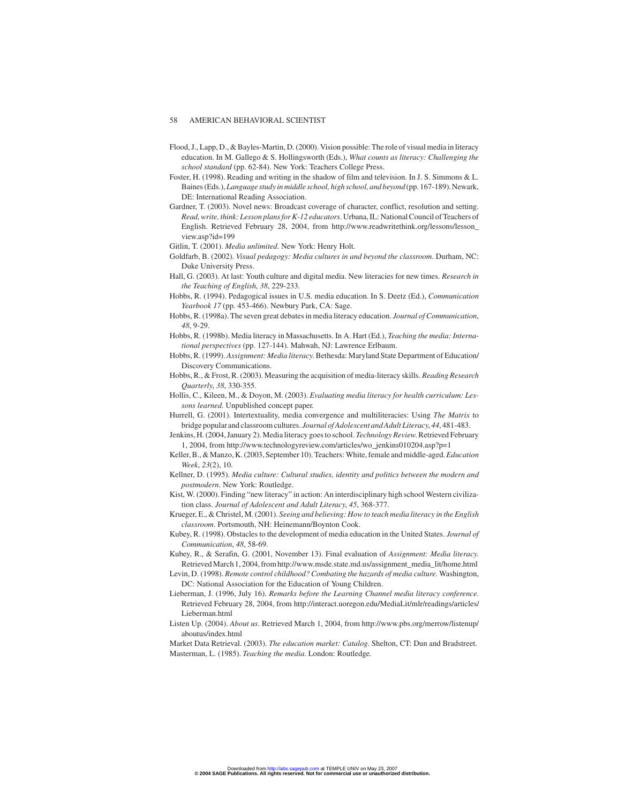- Flood, J., Lapp, D., & Bayles-Martin, D. (2000). Vision possible: The role of visual media in literacy education. In M. Gallego & S. Hollingsworth (Eds.), *What counts as literacy: Challenging the school standard* (pp. 62-84). New York: Teachers College Press.
- Foster, H. (1998). Reading and writing in the shadow of film and television. In J. S. Simmons & L. Baines (Eds.), *Language study in middle school, high school, and beyond* (pp. 167-189). Newark, DE: International Reading Association.
- Gardner, T. (2003). Novel news: Broadcast coverage of character, conflict, resolution and setting. *Read, write, think: Lesson plans for K-12 educators*. Urbana, IL: National Council of Teachers of English. Retrieved February 28, 2004, from http://www.readwritethink.org/lessons/lesson\_ view.asp?id=199

Gitlin, T. (2001). *Media unlimited*. New York: Henry Holt.

- Goldfarb, B. (2002). *Visual pedagogy: Media cultures in and beyond the classroom*. Durham, NC: Duke University Press.
- Hall, G. (2003). At last: Youth culture and digital media. New literacies for new times. *Research in the Teaching of English*, *38*, 229-233.
- Hobbs, R. (1994). Pedagogical issues in U.S. media education. In S. Deetz (Ed.), *Communication Yearbook 17* (pp. 453-466). Newbury Park, CA: Sage.
- Hobbs, R. (1998a). The seven great debates in media literacy education. *Journal of Communication*, *48*, 9-29.
- Hobbs, R. (1998b). Media literacy in Massachusetts. In A. Hart (Ed.), *Teaching the media: International perspectives* (pp. 127-144). Mahwah, NJ: Lawrence Erlbaum.
- Hobbs, R. (1999). *Assignment: Media literacy*. Bethesda: Maryland State Department of Education/ Discovery Communications.
- Hobbs, R., & Frost, R. (2003). Measuring the acquisition of media-literacy skills. *Reading Research Quarterly*, *38*, 330-355.
- Hollis, C., Kileen, M., & Doyon, M. (2003). *Evaluating media literacy for health curriculum: Lessons learned*. Unpublished concept paper.
- Hurrell, G. (2001). Intertextuality, media convergence and multiliteracies: Using *The Matrix* to bridge popular and classroom cultures. *Journal of Adolescent and Adult Literacy*, *44*, 481-483.
- Jenkins, H. (2004, January 2). Media literacy goes to school. *Technology Review*. Retrieved February 1, 2004, from http://www.technologyreview.com/articles/wo\_jenkins010204.asp?p=1
- Keller, B., & Manzo, K. (2003, September 10). Teachers: White, female and middle-aged.*Education Week*, *23*(2), 10.
- Kellner, D. (1995). *Media culture: Cultural studies, identity and politics between the modern and postmodern*. New York: Routledge.
- Kist, W. (2000). Finding "new literacy" in action: An interdisciplinary high school Western civilization class. *Journal of Adolescent and Adult Literacy*, *45*, 368-377.
- Krueger, E., & Christel, M. (2001). *Seeing and believing: How to teach media literacy in the English classroom*. Portsmouth, NH: Heinemann/Boynton Cook.
- Kubey, R. (1998). Obstacles to the development of media education in the United States. *Journal of Communication*, *48*, 58-69.
- Kubey, R., & Serafin, G. (2001, November 13). Final evaluation of *Assignment: Media literacy*. Retrieved March 1, 2004, from http://www.msde.state.md.us/assignment\_media\_lit/home.html
- Levin, D. (1998). *Remote control childhood? Combating the hazards of media culture*. Washington, DC: National Association for the Education of Young Children.
- Lieberman, J. (1996, July 16). *Remarks before the Learning Channel media literacy conference*. Retrieved February 28, 2004, from http://interact.uoregon.edu/MediaLit/mlr/readings/articles/ Lieberman.html
- Listen Up. (2004). *About us*. Retrieved March 1, 2004, from http://www.pbs.org/merrow/listenup/ aboutus/index.html

Market Data Retrieval. (2003). *The education market: Catalog*. Shelton, CT: Dun and Bradstreet. Masterman, L. (1985). *Teaching the media*. London: Routledge.